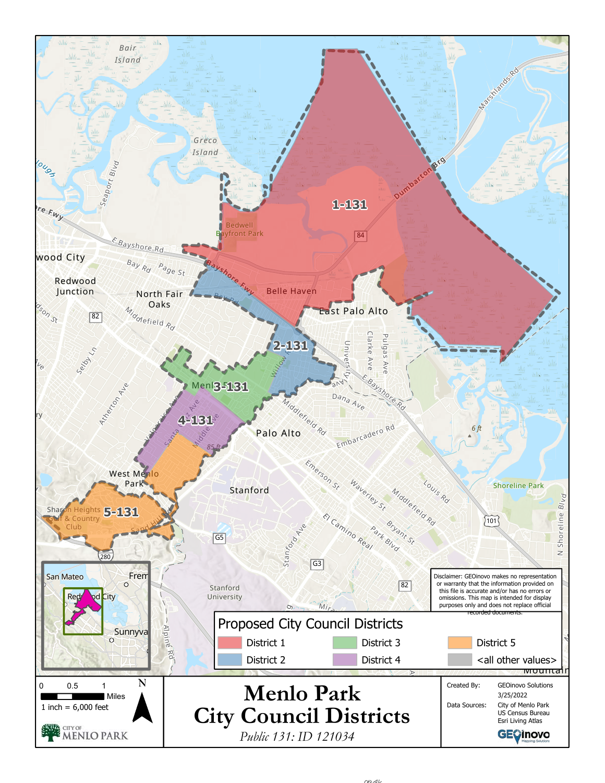